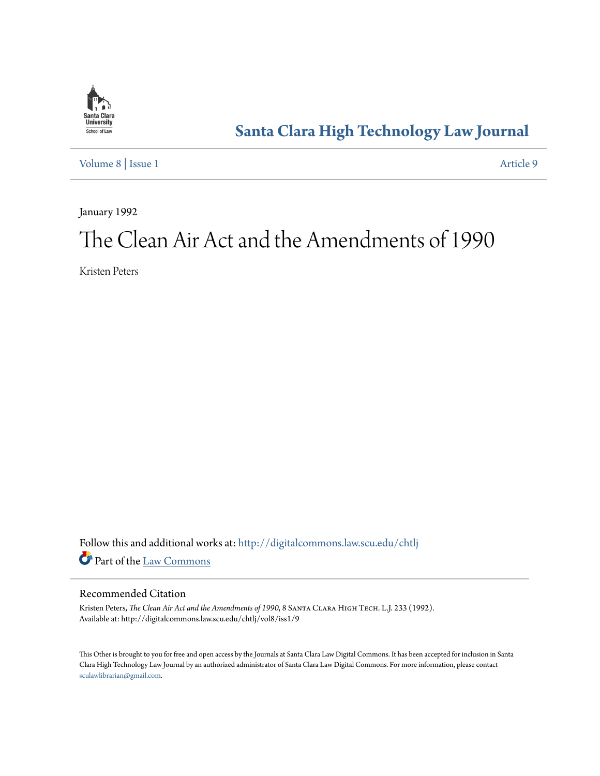

# **[Santa Clara High Technology Law Journal](http://digitalcommons.law.scu.edu/chtlj?utm_source=digitalcommons.law.scu.edu%2Fchtlj%2Fvol8%2Fiss1%2F9&utm_medium=PDF&utm_campaign=PDFCoverPages)**

[Volume 8](http://digitalcommons.law.scu.edu/chtlj/vol8?utm_source=digitalcommons.law.scu.edu%2Fchtlj%2Fvol8%2Fiss1%2F9&utm_medium=PDF&utm_campaign=PDFCoverPages) | [Issue 1](http://digitalcommons.law.scu.edu/chtlj/vol8/iss1?utm_source=digitalcommons.law.scu.edu%2Fchtlj%2Fvol8%2Fiss1%2F9&utm_medium=PDF&utm_campaign=PDFCoverPages) [Article 9](http://digitalcommons.law.scu.edu/chtlj/vol8/iss1/9?utm_source=digitalcommons.law.scu.edu%2Fchtlj%2Fvol8%2Fiss1%2F9&utm_medium=PDF&utm_campaign=PDFCoverPages)

January 1992

# The Clean Air Act and the Amendments of 1990

Kristen Peters

Follow this and additional works at: [http://digitalcommons.law.scu.edu/chtlj](http://digitalcommons.law.scu.edu/chtlj?utm_source=digitalcommons.law.scu.edu%2Fchtlj%2Fvol8%2Fiss1%2F9&utm_medium=PDF&utm_campaign=PDFCoverPages) Part of the [Law Commons](http://network.bepress.com/hgg/discipline/578?utm_source=digitalcommons.law.scu.edu%2Fchtlj%2Fvol8%2Fiss1%2F9&utm_medium=PDF&utm_campaign=PDFCoverPages)

### Recommended Citation

Kristen Peters, *The Clean Air Act and the Amendments of 1990*, 8 SANTA CLARA HIGH TECH. L.J. 233 (1992). Available at: http://digitalcommons.law.scu.edu/chtlj/vol8/iss1/9

This Other is brought to you for free and open access by the Journals at Santa Clara Law Digital Commons. It has been accepted for inclusion in Santa Clara High Technology Law Journal by an authorized administrator of Santa Clara Law Digital Commons. For more information, please contact [sculawlibrarian@gmail.com](mailto:sculawlibrarian@gmail.com).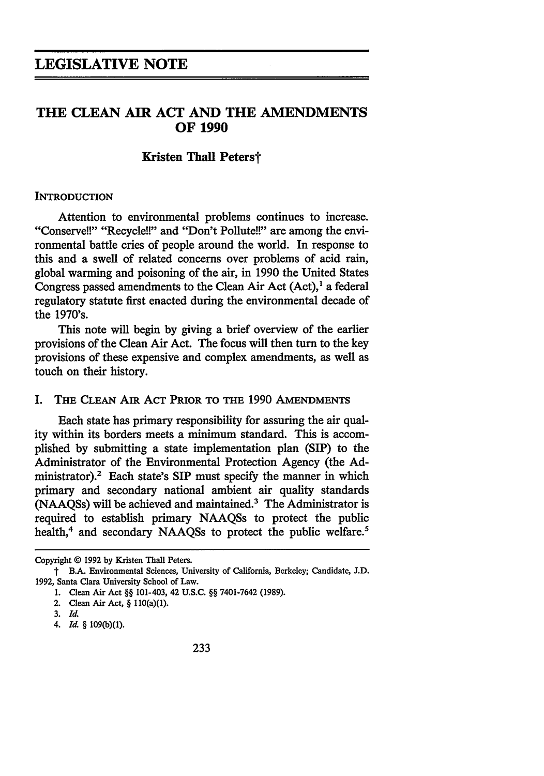# **THE CLEAN AIR ACT AND THE AMENDMENTS OF 1990**

#### **Kristen Thall Peterst**

#### **INTRODUCTION**

Attention to environmental problems continues to increase. "Conserve!!" "Recycle!!" and "Don't Pollute!!" are among the environmental battle cries of people around the world. In response to this and a swell of related concerns over problems of acid rain, global warming and poisoning of the air, in 1990 the United States Congress passed amendments to the Clean Air Act  $(Act)$ ,<sup>1</sup> a federal regulatory statute first enacted during the environmental decade of the 1970's.

This note will begin by giving a brief overview of the earlier provisions of the Clean Air Act. The focus will then turn to the key provisions of these expensive and complex amendments, as well as touch on their history.

#### I. **THE CLEAN AIR** ACT **PRIOR TO THE** 1990 AMENDMENTS

Each state has primary responsibility for assuring the air quality within its borders meets a minimum standard. This is accomplished by submitting a state implementation plan (SIP) to the Administrator of the Environmental Protection Agency (the Administrator).2 Each state's SIP must specify the manner in which primary and secondary national ambient air quality standards (NAAQSs) will be achieved and maintained.3 The Administrator is required to establish primary NAAQSs to protect the public health,<sup>4</sup> and secondary NAAQSs to protect the public welfare.<sup>5</sup>

**3.** *Id.*

Copyright © **1992 by** Kristen Thall Peters.

t B.A. Environmental Sciences, University of California, Berkeley; Candidate, **J.D. 1992,** Santa Clara University School of Law.

**<sup>1.</sup>** Clean Air Act **§§** 101-403, 42 **U.S.C. §§** 7401-7642 **(1989).**

<sup>2.</sup> Clean Air Act, **§** 110(a)(1).

*<sup>4.</sup> Id.* **§ 109(b)(1).**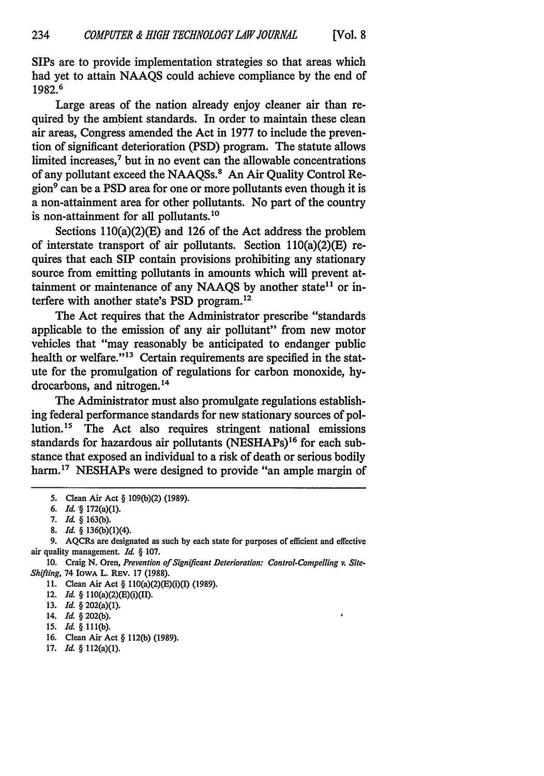SIPs are to provide implementation strategies so that areas which had yet to attain NAAQS could achieve compliance by the end of 1982.6

Large areas of the nation already enjoy cleaner air than required by the ambient standards. In order to maintain these clean air areas, Congress amended the Act in 1977 to include the prevention of significant deterioration (PSD) program. The statute allows limited increases,<sup>7</sup> but in no event can the allowable concentrations of any pollutant exceed the NAAQSs.<sup>8</sup> An Air Quality Control Region<sup>9</sup> can be a PSD area for one or more pollutants even though it is a non-attainment area for other pollutants. No part of the country is non-attainment for all pollutants.10

Sections  $110(a)(2)(E)$  and 126 of the Act address the problem of interstate transport of air pollutants. Section  $110(a)(2)(E)$  requires that each SIP contain provisions prohibiting any stationary source from emitting pollutants in amounts which will prevent attainment or maintenance of any NAAQS by another state<sup>11</sup> or interfere with another state's PSD program.<sup>12</sup>

The Act requires that the Administrator prescribe "standards applicable to the emission of any air pollutant" from new motor vehicles that "may reasonably be anticipated to endanger public health or welfare."<sup>13</sup> Certain requirements are specified in the statute for the promulgation of regulations for carbon monoxide, hydrocarbons, and nitrogen.<sup>14</sup>

The Administrator must also promulgate regulations establishing federal performance standards for new stationary sources of pollution.<sup>15</sup> The Act also requires stringent national emissions standards for hazardous air pollutants (NESHAPs)<sup>16</sup> for each substance that exposed an individual to a risk of death or serious bodily harm.<sup>17</sup> NESHAPs were designed to provide "an ample margin of

- *15. Id.* § **111(b).**
- 16. Clean Air Act § **112(b) (1989).**
- **17.** *Id.* § 112(a)(1).

**<sup>5.</sup>** Clean Air Act § **109(b)(2) (1989).**

**<sup>6.</sup>** *Id* **'§** 172(a)(1).

**<sup>7.</sup>** *Id* § **163(b).**

**<sup>8.</sup>** *Id* § 136(b)(1)(4).

<sup>9.</sup> AQCRs are designated as such by each state for purposes of efficient and effective air quality management. *Id.* § 107.

**<sup>10.</sup>** Craig N. *Oren, Prevention of Significant Deterioration: Control-Compelling v. Site-Shifting,* 74 **IOWA** L. REv. 17 (1988).

**<sup>11.</sup>** Clean Air Act § 1l0(a)(2)(E)(i)(I) (1989).

<sup>12.</sup> *Id.* § 110(a)(2)(E)(i)(II).

**<sup>13.</sup>** *Id.* § 202(a)(1).

**<sup>14.</sup>** *Id.* § 202(b).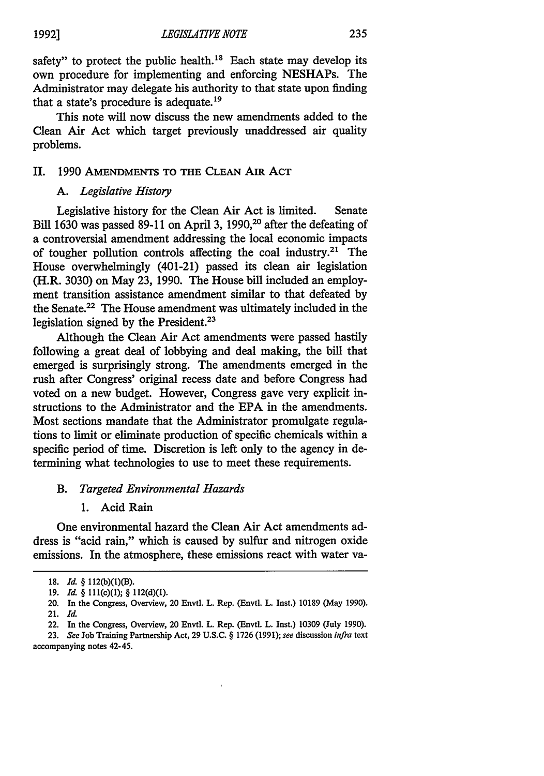235

safety" to protect the public health. $18$  Each state may develop its own procedure for implementing and enforcing NESHAPs. The Administrator may delegate his authority to that state upon finding that a state's procedure is adequate.<sup>19</sup>

This note will now discuss the new amendments added to the Clean Air Act which target previously unaddressed air quality problems.

#### **II.** 1990 **AMENDMENTS** TO **THE CLEAN AIR** ACT

#### *A. Legislative History*

Legislative history for the Clean Air Act is limited. Senate Bill 1630 was passed 89-11 on April 3, 1990,<sup>20</sup> after the defeating of a controversial amendment addressing the local economic impacts of tougher pollution controls affecting the coal industry.<sup>21</sup> The House overwhelmingly (401-21) passed its clean air legislation (H.R. 3030) on May 23, 1990. The House bill included an employment transition assistance amendment similar to that defeated by the Senate.22 The House amendment was ultimately included in the legislation signed by the President.<sup>23</sup>

Although the Clean Air Act amendments were passed hastily following a great deal of lobbying and deal making, the bill that emerged is surprisingly strong. The amendments emerged in the rush after Congress' original recess date and before Congress had voted on a new budget. However, Congress gave very explicit instructions to the Administrator and the EPA in the amendments. Most sections mandate that the Administrator promulgate regulations to limit or eliminate production of specific chemicals within a specific period of time. Discretion is left only to the agency in determining what technologies to use to meet these requirements.

#### *B. Targeted Environmental Hazards*

**1.** Acid Rain

One environmental hazard the Clean Air Act amendments address is "acid rain," which is caused by sulfur and nitrogen oxide emissions. In the atmosphere, these emissions react with water va-

**<sup>18.</sup>** *Id.* § **112(b)(1)(B).**

**<sup>19.</sup>** *Id. §* **Ill(c)(1);** § **112(d)(1).**

<sup>20.</sup> **In the** Congress, Overview, 20 Envtl. L. **Rep. (Envtl. L. Inst.) 10189** (May **1990). 21.** *Id.*

**<sup>22.</sup> In the** Congress, Overview, 20 **Envtl. L.** Rep. **(Envtl.** L. Inst.) **10309 (July 1990).**

**<sup>23.</sup>** *See* Job Training Partnership Act, **29 U.S.C.** § **1726 (1991);** see discussion *infra* **text** accompanying notes **42-45.**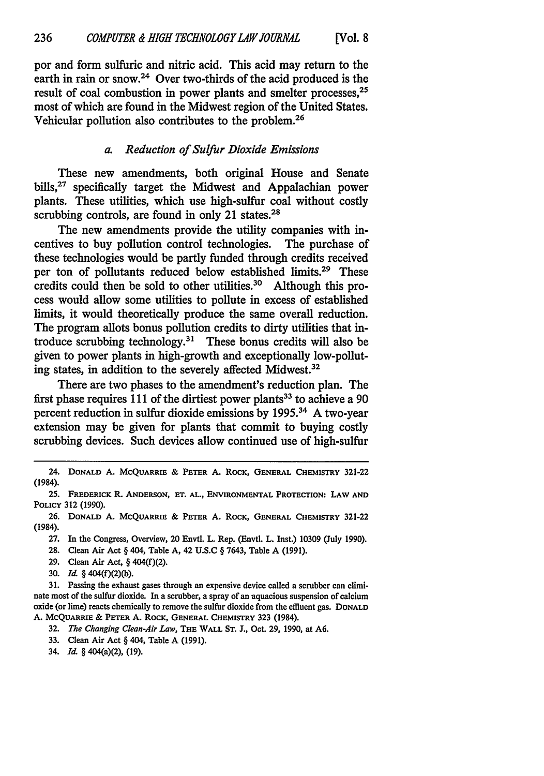por and form sulfuric and nitric acid. This acid may return to the earth in rain or snow.<sup>24</sup> Over two-thirds of the acid produced is the result of coal combustion in power plants and smelter processes, <sup>25</sup> most of which are found in the Midwest region of the United States. Vehicular pollution also contributes to the problem.26

#### *a. Reduction of Sulfur Dioxide Emissions*

These new amendments, both original House and Senate bills,<sup>27</sup> specifically target the Midwest and Appalachian power plants. These utilities, which use high-sulfur coal without costly scrubbing controls, are found in only 21 states. $28$ 

The new amendments provide the utility companies with incentives to buy pollution control technologies. The purchase of these technologies would be partly funded through credits received per ton of pollutants reduced below established limits.<sup>29</sup> These credits could then be sold to other utilities.<sup>30</sup> Although this process would allow some utilities to pollute in excess of established limits, it would theoretically produce the same overall reduction. The program allots bonus pollution credits to dirty utilities that introduce scrubbing technology.31 These bonus credits will also be given to power plants in high-growth and exceptionally low-polluting states, in addition to the severely affected Midwest.<sup>32</sup>

There are two phases to the amendment's reduction plan. The first phase requires 111 of the dirtiest power plants<sup>33</sup> to achieve a 90 percent reduction in sulfur dioxide emissions by 1995.<sup>34</sup> A two-year extension may be given for plants that commit to buying costly scrubbing devices. Such devices allow continued use of high-sulfur

27. In the Congress, Overview, 20 Envtl. L. Rep. (Envtl. L. Inst.) 10309 (July 1990).

28. Clean Air Act § 404, Table A, 42 U.S.C § 7643, Table A (1991).

- **29.** Clean Air Act, § 404(f)(2).
- 30. *Id.* § 404(f)(2)(b).

31. Passing the exhaust gases through an expensive device called a scrubber can eliminate most of the sulfur dioxide. In a scrubber, a spray of an aquacious suspension of calcium oxide (or lime) reacts chemically to remove the sulfur dioxide from the effluent gas. **DONALD A. MCQUARRIE & PETER A.** ROCK, **GENERAL CHEMISTRY 323** (1984).

**32.** *The Changing Clean-Air Law,* **THE WALL ST. J.,** Oct. **29, 1990,** at **A6.**

- **33.** Clean Air Act § 404, Table **A (1991).**
- 34. *Id.* § 404(a)(2), (19).

<sup>24.</sup> **DONALD A. MCQUARRIE & PETER A. ROCK, GENERAL CHEMISTRY 321-22** (1984).

<sup>25.</sup> **FREDERICK R. ANDERSON, ET. AL., ENVIRONMENTAL PROTECTION: LAW AND POLICY 312 (1990).**

**<sup>26.</sup> DONALD A. MCQUARRIE & PETER A. ROCK, GENERAL CHEMISTRY 321-22** (1984).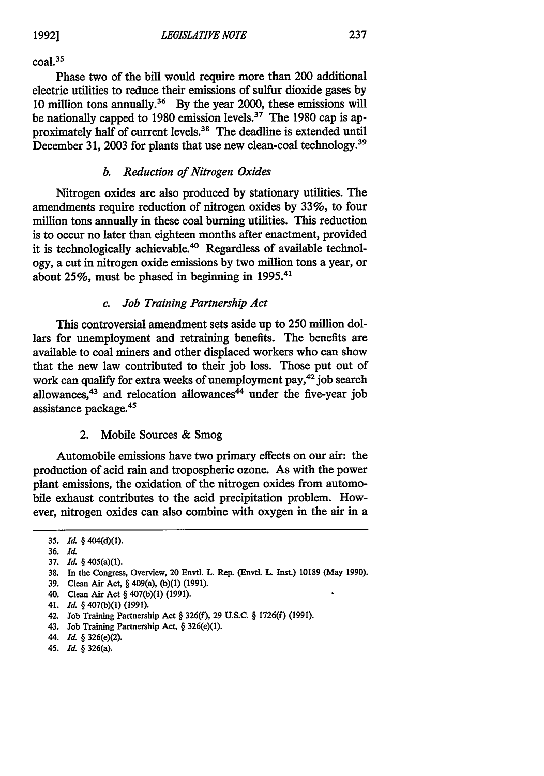$\text{coal.}^{35}$ 

Phase two of the bill would require more than 200 additional electric utilities to reduce their emissions of sulfur dioxide gases by 10 million tons annually.<sup>36</sup> By the year 2000, these emissions will be nationally capped to 1980 emission levels.<sup>37</sup> The 1980 cap is approximately half of current levels.38 The deadline is extended until December 31, 2003 for plants that use new clean-coal technology.39

# *b. Reduction of Nitrogen Oxides*

Nitrogen oxides are also produced by stationary utilities. The amendments require reduction of nitrogen oxides by 33%, to four million tons annually in these coal burning utilities. This reduction is to occur no later than eighteen months after enactment, provided it is technologically achievable.<sup>40</sup> Regardless of available technology, a cut in nitrogen oxide emissions by two million tons a year, or about 25%, must be phased in beginning in 1995.41

## *c. Job Training Partnership Act*

This controversial amendment sets aside up to 250 million dollars for unemployment and retraining benefits. The benefits are available to coal miners and other displaced workers who can show that the new law contributed to their job loss. Those put out of work can qualify for extra weeks of unemployment pay,42 job search allowances, $43$  and relocation allowances $44$  under the five-year job assistance package.45

#### 2. Mobile Sources & Smog

Automobile emissions have two primary effects on our air: the production of acid rain and tropospheric ozone. As with the power plant emissions, the oxidation of the nitrogen oxides from automobile exhaust contributes to the acid precipitation problem. However, nitrogen oxides can also combine with oxygen in the air in a

- 39. Clean Air Act, § 409(a), (b)(1) (1991).
- 40. Clean Air Act § 407(b)(1) (1991).
- 41. *Id.* § 407(b)(1) (1991).
- 42. Job Training Partnership Act § 326(f), 29 U.S.C. § 1726(f) (1991).
- 43. Job Training Partnership Act, § 326(e)(1).
- 44. *Id.* § 326(e)(2).
- 45. *Id.* § 326(a).

**<sup>35.</sup>** *Id.* § 404(d)(1).

<sup>36.</sup> **Id.**

<sup>37.</sup> *Id.* § 405(a)(1).

<sup>38.</sup> In the Congress, Overview, 20 Envtl. L. Rep. (Envtl. L. Inst.) 10189 (May 1990).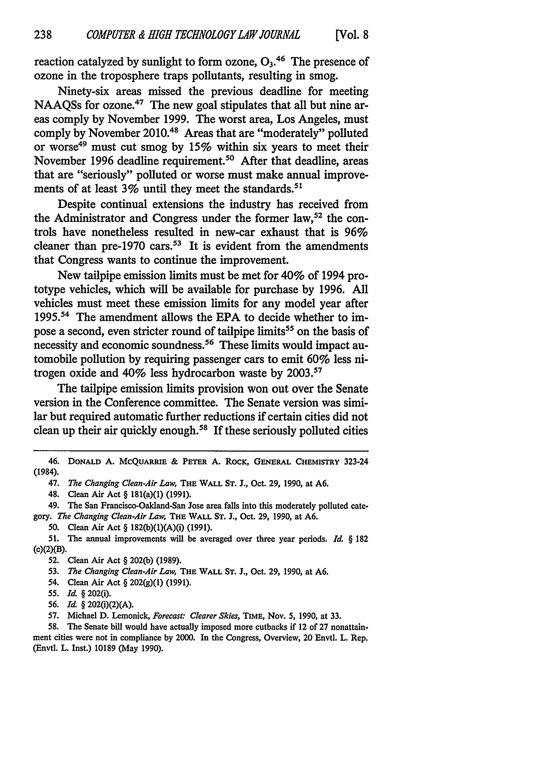reaction catalyzed by sunlight to form ozone, **<sup>03</sup> . <sup>46</sup>**The presence of ozone in the troposphere traps pollutants, resulting in smog.

Ninety-six areas missed the previous deadline for meeting NAAQSs for ozone.<sup>47</sup> The new goal stipulates that all but nine areas comply by November 1999. The worst area, Los Angeles, must comply by November 2010.48 Areas that are "moderately" polluted or worse<sup>49</sup> must cut smog by 15% within six years to meet their November 1996 deadline requirement.<sup>50</sup> After that deadline, areas that are "seriously" polluted or worse must make annual improvements of at least  $3\%$  until they meet the standards.<sup>51</sup>

Despite continual extensions the industry has received from the Administrator and Congress under the former  $law$ , <sup>52</sup> the controls have nonetheless resulted in new-car exhaust that is 96% cleaner than pre-1970 cars.<sup>53</sup> It is evident from the amendments that Congress wants to continue the improvement.

New tailpipe emission limits must be met for 40% of 1994 prototype vehicles, which will be available for purchase by 1996. All vehicles must meet these emission limits for any model year after 1995.<sup>54</sup> The amendment allows the EPA to decide whether to impose a second, even stricter round of tailpipe limits<sup>55</sup> on the basis of necessity and economic soundness.<sup>56</sup> These limits would impact automobile pollution by requiring passenger cars to emit 60% less nitrogen oxide and  $40\%$  less hydrocarbon waste by 2003.<sup>57</sup>

The tailpipe emission limits provision won out over the Senate version in the Conference committee. The Senate version was similar but required automatic further reductions if certain cities did not clean up their air quickly enough.<sup>58</sup> If these seriously polluted cities

50. Clean Air Act § 182(b)(1)(A)(i) (1991).

51. The annual improvements will be averaged over three year periods. *Id.* § 182 (c)(2)(B).

53. *The Changing Clean-Air Law,* **THE** WALL **ST. J.,** Oct. **29, 1990,** at A6.

- 54. Clean Air Act § 202(g)(1) (1991).
- 55. *Id.* § 202(i).
- **56.** *Id.* § 202(i)(2)(A).

57. Michael D. Lemonick, *Forecast: Clearer Skies,* TIME, Nov. 5, **1990,** at **33.**

**58.** The Senate bill would have actually imposed more cutbacks if 12 of 27 nonattainment cities were not in compliance by 2000. In the Congress, Overview, 20 Envtl. L. Rep. (Envtl. L. Inst.) 10189 (May 1990).

<sup>46.</sup> **DONALD A.** MCQUARRIE **&** PETER **A.** RocK, **GENERAL** CHEMISTRY 323-24 (1984).

<sup>47.</sup> *The Changing Clean-Air Law,* **THE** WALL **ST. J.,** Oct. **29,** 1990, at **A6.**

<sup>48.</sup> Clean Air Act § 181(a)(1) (1991).

<sup>49.</sup> The San Francisco-Oakland-San Jose area falls into this moderately polluted category. *The Changing Clean-Air Law,* THE WALL **ST. J.,** Oct. 29, 1990, at **A6.**

**<sup>52.</sup>** Clean Air Act § 202(b) (1989).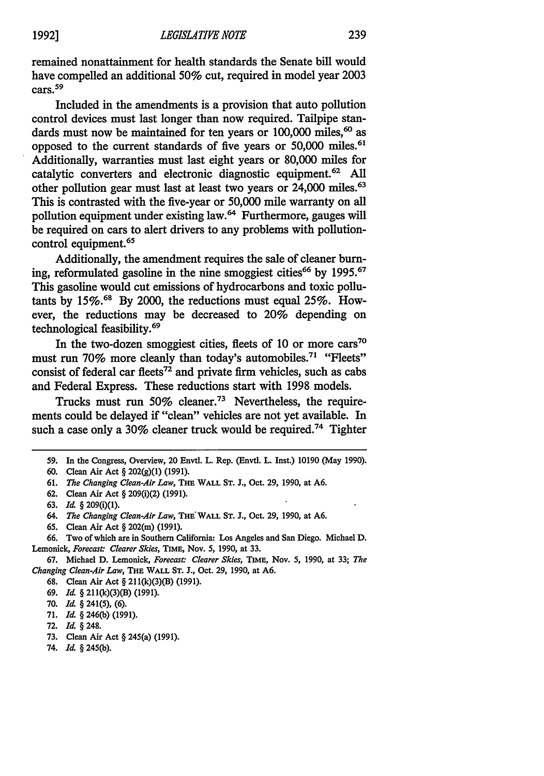remained nonattainment for health standards the Senate bill would have compelled an additional **50%** cut, required in model year 2003 cars. 59

Included in the amendments is a provision that auto pollution control devices must last longer than now required. Tailpipe standards must now be maintained for ten years or  $100,000$  miles,  $60$  as opposed to the current standards of five years or 50,000 miles.<sup>61</sup> Additionally, warranties must last eight years or 80,000 miles for catalytic converters and electronic diagnostic equipment.62 All other pollution gear must last at least two years or 24,000 miles.<sup>63</sup> This is contrasted with the five-year or 50,000 mile warranty on all pollution equipment under existing law.64 Furthermore, gauges will be required on cars to alert drivers to any problems with pollutioncontrol equipment.<sup>65</sup>

Additionally, the amendment requires the sale of cleaner burning, reformulated gasoline in the nine smoggiest cities<sup>66</sup> by 1995.<sup>67</sup> This gasoline would cut emissions of hydrocarbons and toxic pollutants by **15%.6'** By 2000, the reductions must equal 25%. However, the reductions may be decreased to 20% depending on technological feasibility.69

In the two-dozen smoggiest cities, fleets of 10 or more  $\text{cars}^{70}$ must run 70% more cleanly than today's automobiles.<sup>71</sup> "Fleets' consist of federal car fleets<sup>72</sup> and private firm vehicles, such as cabs and Federal Express. These reductions start with 1998 models.

Trucks must run 50% cleaner.<sup>73</sup> Nevertheless, the requirements could be delayed if "clean" vehicles are not yet available. In such a case only a 30% cleaner truck would be required.<sup>74</sup> Tighter

65. Clean Air Act § 202(m) (1991).

66. Two of which are in Southern California: Los Angeles and San Diego. Michael D. Lemonick, Forecast: Clearer Skies, TIME, Nov. 5, 1990, at 33.

67. Michael D. Lemonick, *Forecast: Clearer Skies,* TIME, Nov. *5,* 1990, at 33; *The Changing Clean-Air Law,* THE WALL ST. J., Oct. 29, 1990, at A6.

- **72.** *Id.* § 248.
- 73. Clean Air Act § 245(a) (1991).
- 74. *Id.* § 245(b).

<sup>59.</sup> In the Congress, Overview, 20 Envtl. L. Rep. (Envtl. L. Inst.) 10190 (May 1990).

**<sup>60.</sup>** Clean Air Act § 202(g)(1) **(1991).**

<sup>61.</sup> *The Changing Clean-Air Law,* THE WALL ST. J., Oct. 29, 1990, at A6.

**<sup>62.</sup>** Clean Air Act § 209(i)(2) (1991).

<sup>63.</sup> *Id.* § 209(i)(1).

<sup>64.</sup> *The Changing Clean-Air Law,* THE: WALL **ST. J.,** Oct. 29, 1990, at A6.

<sup>68.</sup> Clean Air Act § 211(k)(3)(B) (1991).

<sup>69.</sup> *Id.* § 211(k)(3)(B) (1991).

**<sup>70.</sup>** *Id.* § 241(5), (6).

**<sup>71.</sup>** *Id.* § 246(b) (1991).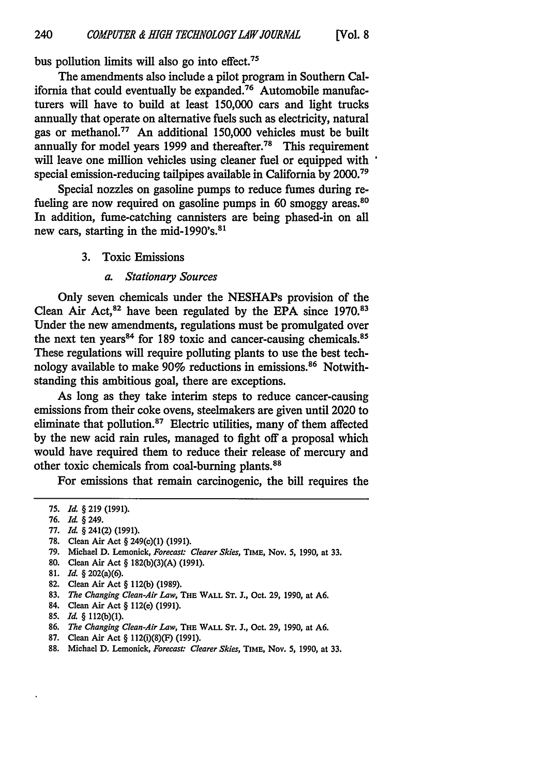bus pollution limits will also go into effect.<sup>75</sup>

The amendments also include a pilot program in Southern California that could eventually be expanded.76 Automobile manufacturers will have to build at least 150,000 cars and light trucks annually that operate on alternative fuels such as electricity, natural gas or methanol.77 An additional 150,000 vehicles must be built annually for model years 1999 and thereafter.<sup>78</sup> This requirement will leave one million vehicles using cleaner fuel or equipped with special emission-reducing tailpipes available in California by **2000. <sup>7</sup> <sup>9</sup>**

Special nozzles on gasoline pumps to reduce fumes during refueling are now required on gasoline pumps in 60 smoggy areas.<sup>80</sup> In addition, fume-catching cannisters are being phased-in on all new cars, starting in the mid-1990's.<sup>81</sup>

- 3. Toxic Emissions
	- *a. Stationary Sources*

Only seven chemicals under the NESHAPs provision of the Clean Air Act, 82 have been regulated by the **EPA** since 1970.83 Under the new amendments, regulations must be promulgated over the next ten years<sup>84</sup> for 189 toxic and cancer-causing chemicals.<sup>85</sup> These regulations will require polluting plants to use the best technology available to make 90% reductions in emissions.<sup>86</sup> Notwithstanding this ambitious goal, there are exceptions.

As long as they take interim steps to reduce cancer-causing emissions from their coke ovens, steelmakers are given until 2020 to eliminate that pollution. $87$  Electric utilities, many of them affected by the new acid rain rules, managed to fight off a proposal which would have required them to reduce their release of mercury and other toxic chemicals from coal-burning plants. <sup>88</sup>

For emissions that remain carcinogenic, the bill requires the

- **76.** *Id.* § 249.
- **77.** *Id.* § 241(2) **(1991).**
- 78. Clean Air Act § 249(c)(1) **(1991).**
- 79. Michael D. Lemonick, *Forecast: Clearer Skies*, TIME, Nov. 5, 1990, at 33.
- **80.** Clean Air Act § 182(b)(3)(A) (1991).
- **81.** *Id.* § 202(a)(6).
- 82. Clean Air Act § 112(b) (1989).
- 83. *The Changing Clean-Air Law,* **THE** WALL **ST. J.,** Oct. 29, 1990, at A6.
- 84. Clean Air Act § 112(e) (1991).
- 85. *Id.* § 112(b)(1).
- 86. *The Changing Clean-Air Law,* THE **WALL ST.** J., Oct. 29, 1990, at **A6.**
- 87. Clean Air Act § 112(i)(8)(F) (1991).
- 88. Michael D. Lemonick, *Forecast: Clearer Skies,* **TIME,** Nov. *5,* 1990, at 33.

**<sup>75.</sup>** *Id.* § 219 (1991).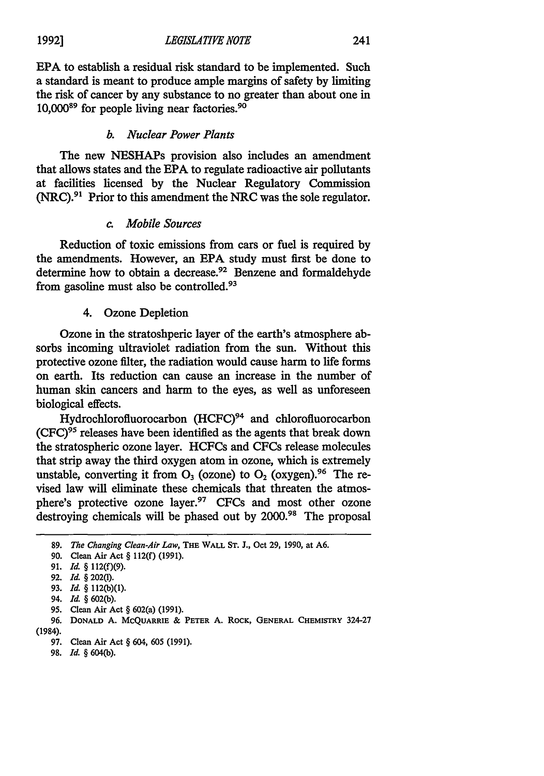**EPA** to establish a residual risk standard to be implemented. Such a standard is meant to produce ample margins of safety **by** limiting the risk of cancer **by** any substance to no greater than about one in 10,00089 for people living near factories. <sup>90</sup>

#### *b. Nuclear Power Plants*

The new NESHAPs provision also includes an amendment that allows states and the **EPA** to regulate radioactive air pollutants at facilities licensed **by** the Nuclear Regulatory Commission (NRC).91 Prior to this amendment the NRC was the sole regulator.

# *c. Mobile Sources*

Reduction of toxic emissions from cars or fuel is required **by** the amendments. However, an **EPA** study must first be done to determine how to obtain a decrease.<sup>92</sup> Benzene and formaldehyde from gasoline must also be controlled.<sup>93</sup>

#### 4. Ozone Depletion

Ozone in the stratoshperic layer of the earth's atmosphere absorbs incoming ultraviolet radiation from the sun. Without this protective ozone filter, the radiation would cause harm to life forms on earth. Its reduction can cause an increase in the number of human skin cancers and harm to the eyes, as well as unforeseen biological effects.

Hydrochlorofluorocarbon (HCFC)<sup>94</sup> and chlorofluorocarbon  $(CFC)^{95}$  releases have been identified as the agents that break down the stratospheric ozone layer. HCFCs and CFCs release molecules that strip away the third oxygen atom in ozone, which is extremely unstable, converting it from  $O_3$  (ozone) to  $O_2$  (oxygen).<sup>96</sup> The revised law will eliminate these chemicals that threaten the atmosphere's protective ozone layer.<sup>97</sup> CFCs and most other ozone destroying chemicals will be phased out by 2000.<sup>98</sup> The proposal

95. Clean **Air Act** § 602(a) (1991).

- **97.** Clean Air Act § 604, 605 (1991).
- **98.** *Id.* § 604(b).

**1992]**

<sup>89.</sup> *The Changing Clean-Air Law,* THE WALL **ST.** J., Oct 29, 1990, at A6.

<sup>90.</sup> Clean Air Act § 112(f) (1991).

<sup>91.</sup> *Id.* § 112(f)(9).

**<sup>92.</sup>** *Id.* § 202(t).

**<sup>93.</sup>** *Id.* § 112(b)(1).

<sup>94.</sup> *Id.* § **602(b).**

<sup>96.</sup> **DONALD A.** MCQUARRIE & **PETER A.** ROCK, **GENERAL CHEMISTRY** 324-27 (1984).